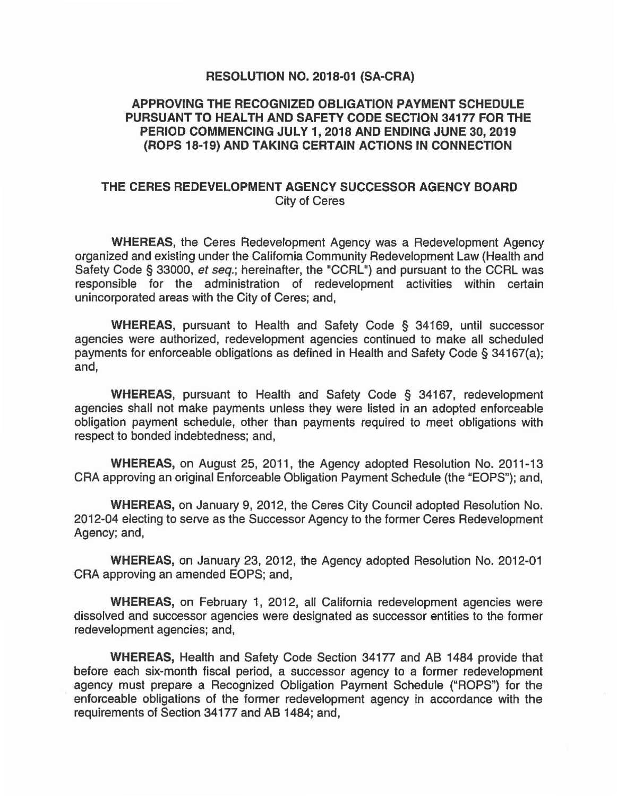## **RESOLUTION NO. 2018-01 (SA-CRA)**

## **APPROVING THE RECOGNIZED OBLIGATION PAYMENT SCHEDULE PURSUANT TO HEALTH AND SAFETY CODE SECTION 34177 FOR THE PERIOD COMMENCING JULY 1, 2018 AND ENDING JUNE** 30, **2019 (ROPS 18-19) AND TAKING CERTAIN ACTIONS IN CONNECTION**

## **THE CERES REDEVELOPMENT AGENCY SUCCESSOR AGENCY BOARD**  City of Ceres

**WHEREAS,** the Ceres Redevelopment Agency was a Redevelopment Agency organized and existing under the California Community Redevelopment Law (Health and Safety Code § 33000, *et seq.;* hereinafter, the "CCRL") and pursuant to the CCRL was responsible for the administration of redevelopment activities within certain unincorporated areas with the City of Ceres; and,

**WHEREAS,** pursuant to Health and Safety Code § 34169, until successor agencies were authorized, redevelopment agencies continued to make all scheduled payments for enforceable obligations as defined in Health and Safety Code § 34167(a); and,

**WHEREAS,** pursuant to Health and Safety Code § 34167, redevelopment agencies shall not make payments unless they were listed in an adopted enforceable obligation payment schedule, other than payments required to meet obligations with respect to bonded indebtedness; and,

**WHEREAS,** on August 25, 2011, the Agency adopted Resolution No. 2011-13 CRA approving an original Enforceable Obligation Payment Schedule (the "EOPS"); and,

**WHEREAS,** on January 9, 2012, the Ceres City Council adopted Resolution No. 2012-04 electing to serve as the Successor Agency to the former Ceres Redevelopment Agency; and,

**WHEREAS,** on January 23, 2012, the Agency adopted Resolution No. 2012-01 CRA approving an amended EOPS; and,

**WHEREAS,** on February 1, 2012, all California redevelopment agencies were dissolved and successor agencies were designated as successor entities to the former redevelopment agencies; and,

**WHEREAS,** Health and Safety Code Section 34177 and AB 1484 provide that before each six-month fiscal period, a successor agency to a former redevelopment agency must prepare a Recognized Obligation Payment Schedule ("ROPS") for the enforceable obligations of the former redevelopment agency in accordance with the requirements of Section 34177 and AB 1484; and,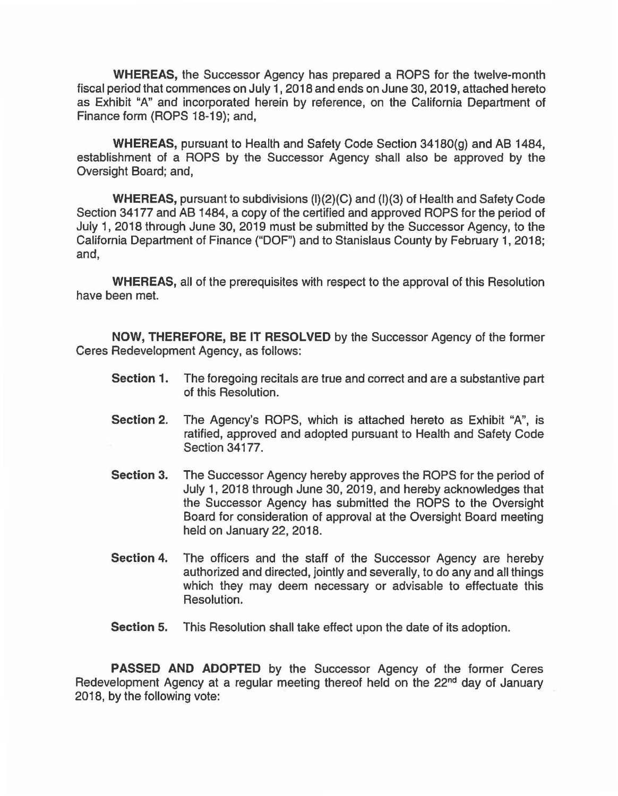WHEREAS, the Successor Agency has prepared a ROPS for the twelve-month fiscal period that commences on July 1, 2018 and ends on June 30, 2019, attached hereto as Exhibit "A" and incorporated herein by reference, on the California Department of Finance form (ROPS 18-19); and,

WHEREAS, pursuant to Health and Safety Code Section 34180(g) and AB 1484, establishment of a ROPS by the Successor Agency shall also be approved by the Oversight Board; and,

WHEREAS, pursuant to subdivisions (1)(2)(C) and (1)(3) of Health and Safety Code Section 34177 and AB 1484, a copy of the certified and approved ROPS for the period of July 1, 2018 through June 30, 2019 must be submitted by the Successor Agency, to the California Department of Finance ("DOF") and to Stanislaus County by February 1, 2018; and,

WHEREAS, all of the prerequisites with respect to the approval of this Resolution have been met.

NOW, THEREFORE, BE IT RESOLVED by the Successor Agency of the former Ceres Redevelopment Agency, as follows:

- Section 1. The foregoing recitals are true and correct and are a substantive part of this Resolution.
- Section 2. The Agency's ROPS, which is attached hereto as Exhibit "A", is ratified, approved and adopted pursuant to Health and Safety Code Section 34177.
- Section 3. The Successor Agency hereby approves the ROPS for the period of July 1, 2018 through June 30, 2019, and hereby acknowledges that the Successor Agency has submitted the ROPS to the Oversight Board for consideration of approval at the Oversight Board meeting held on January 22, 2018.
- Section 4. The officers and the staff of the Successor Agency are hereby authorized and directed, jointly and severally, to do any and all things which they may deem necessary or advisable to effectuate this Resolution.
- Section 5. This Resolution shall take effect upon the date of its adoption.

PASSED AND ADOPTED by the Successor Agency of the former Ceres Redevelopment Agency at a regular meeting thereof held on the 22<sup>nd</sup> day of January 2018, by the following vote: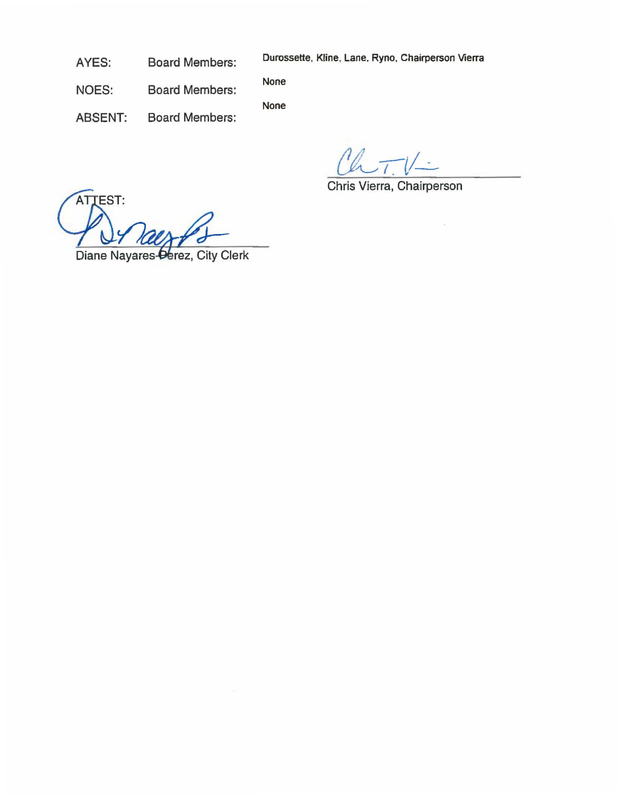AYES: Board Members:

Durossette, Kline. Lane. Ryno. Chairperson Vierra

NOES: Board Members: None

None

ABSENT: Board Members:

 $\tau$ 

Chris Vierra, Chairperson

ATTEST: Diane Nayares-Derez, City Clerk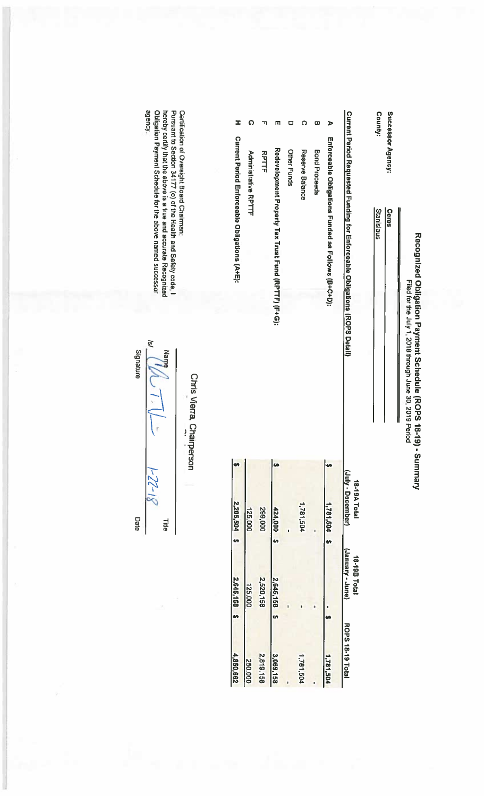|         | Successor Agency:           | Ceres                                                                      |                                   |                                 |                  |
|---------|-----------------------------|----------------------------------------------------------------------------|-----------------------------------|---------------------------------|------------------|
| County: |                             | Stanislaus                                                                 |                                   |                                 |                  |
|         |                             | Current Period Requested Funding for Enforceable Obilgations (ROPS Detail) | (July - December)<br>18-19A Total | (aunr - Aenuer)<br>18-198 Total | ROPS 18-19 Total |
| ъ       |                             | Enforceable Obligations Funded as Follows (B+C+D):                         | 1,781,504 \$                      |                                 | 1,781,504        |
| ω       | <b>Bond Proceeds</b>        |                                                                            |                                   |                                 |                  |
| О       | Reserve Balance             |                                                                            | 1,781,504                         |                                 | 1,781,504        |
|         | Other Funds                 |                                                                            |                                   |                                 |                  |
|         |                             | Redevelopment Property Tax Trust Fund (RPTTF) (F+G):                       | 424,000 \$                        | 2,645,158 \$                    | 3,069,158        |
|         | <b>RPTTF</b>                |                                                                            | 299,000                           | 2,520,158                       | 2,819,158        |
| ດ       | <b>Administrative RPTTF</b> |                                                                            | 1<br>125,000                      | 125,000                         | 250,000          |
| ᆂ       |                             | Current Period Enforceable Obligations (A+E):                              | 2,205,504 \$                      | 2,645,158 \$                    | 4,850,662        |

agency. Obligation Payment Schedule for the above named successor Certification of Oversight Board Chairman:<br>Pursuant to Section 34177 (o) of the Health and Safety code, I hereby certify that the above is a true and accurate Recognized

Chris Vierra, Chairperson

 $\widetilde{\mathcal{S}}$ **Alam**  $\left\langle \cdot \right\rangle$  $1 - 22 - 18$ Title

Signature

Date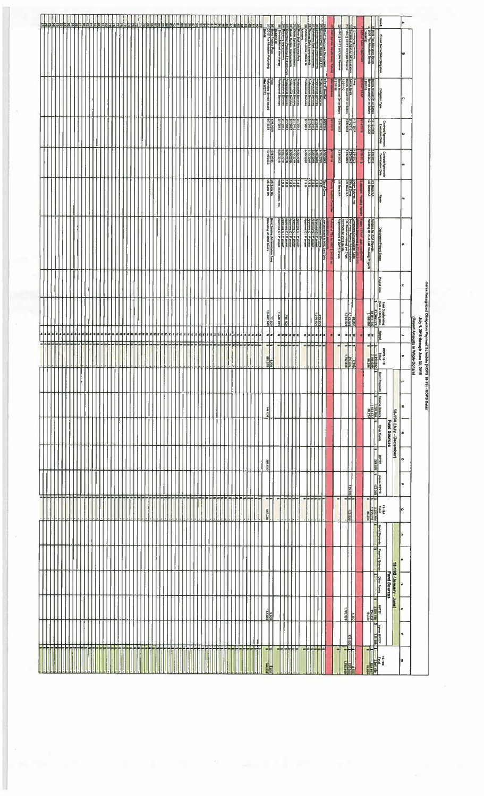|   |                                   |  |    |     |                              |     |             |   |        |         |   |     |   |                   |  |              |   |  |  |  |                                    |              |  |                                                                            |  |                                                                                                                                                                                                                                                                                                                                                     |  |                                                              |                                                                     |                 |         | <u> 도로 없는 물론</u>                                                                                                                                                                                                                                                                                                                                                                                                                    |    |  |                | reer                   |                                     | 13                            |          |                                                                                                                   |             |                       |                                                                                                                                                                     |                      |                                              |                     |                                          |                |                                        |                               |                                                                         |  |
|---|-----------------------------------|--|----|-----|------------------------------|-----|-------------|---|--------|---------|---|-----|---|-------------------|--|--------------|---|--|--|--|------------------------------------|--------------|--|----------------------------------------------------------------------------|--|-----------------------------------------------------------------------------------------------------------------------------------------------------------------------------------------------------------------------------------------------------------------------------------------------------------------------------------------------------|--|--------------------------------------------------------------|---------------------------------------------------------------------|-----------------|---------|-------------------------------------------------------------------------------------------------------------------------------------------------------------------------------------------------------------------------------------------------------------------------------------------------------------------------------------------------------------------------------------------------------------------------------------|----|--|----------------|------------------------|-------------------------------------|-------------------------------|----------|-------------------------------------------------------------------------------------------------------------------|-------------|-----------------------|---------------------------------------------------------------------------------------------------------------------------------------------------------------------|----------------------|----------------------------------------------|---------------------|------------------------------------------|----------------|----------------------------------------|-------------------------------|-------------------------------------------------------------------------|--|
|   |                                   |  |    |     |                              |     |             |   |        |         |   |     |   |                   |  |              |   |  |  |  |                                    |              |  |                                                                            |  |                                                                                                                                                                                                                                                                                                                                                     |  |                                                              | Deserting<br>The Torse Fee (September)<br>Deserting Fee (September) |                 |         |                                                                                                                                                                                                                                                                                                                                                                                                                                     | 青江 |  |                |                        | <b>THE Second Imaginates Robert</b> | HSC § 34171 (di(1)(A) Reserve |          | <b>Comman Designation</b><br><b>Bucket Marcy American</b><br>Bucket Marcy American                                |             |                       |                                                                                                                                                                     |                      | i<br>Particular<br><b>COMPANY IN 1889</b>    |                     |                                          |                |                                        |                               |                                                                         |  |
|   |                                   |  |    |     |                              |     |             |   |        |         |   |     |   |                   |  |              |   |  |  |  |                                    |              |  |                                                                            |  |                                                                                                                                                                                                                                                                                                                                                     |  | 訂<br>Relativity Bends bound<br>Also 072/12                   |                                                                     |                 |         |                                                                                                                                                                                                                                                                                                                                                                                                                                     |    |  |                |                        |                                     |                               |          |                                                                                                                   |             |                       |                                                                                                                                                                     |                      | Children's Type                              |                     |                                          |                |                                        |                               |                                                                         |  |
|   |                                   |  |    |     |                              |     |             |   |        |         |   |     |   |                   |  |              |   |  |  |  |                                    |              |  |                                                                            |  |                                                                                                                                                                                                                                                                                                                                                     |  | <b>RISSON</b>                                                |                                                                     |                 |         |                                                                                                                                                                                                                                                                                                                                                                                                                                     |    |  |                | <b>THE SEA</b>         | <b>Cubicum</b>                      | 000829221                     |          | $\begin{array}{ c c } \hline \text{correl} \\ \hline \text{162,14} \\ \hline \text{162,14} \\ \hline \end{array}$ |             | <b>DIGENTA</b>        | <b>REASES</b>                                                                                                                                                       |                      | <b>Contract/grounterst</b><br>Execution Data |                     |                                          | 10             |                                        |                               |                                                                         |  |
|   |                                   |  |    |     |                              |     |             |   |        |         |   |     |   |                   |  |              |   |  |  |  |                                    |              |  |                                                                            |  |                                                                                                                                                                                                                                                                                                                                                     |  | <b>CONTRACT</b>                                              |                                                                     |                 |         | $\begin{array}{ c c c c c } \hline \hline \multicolumn{1}{ c }{\multicolumn{1}{ c }{\multicolumn{1}{ c }{\multicolumn{1}{ c }{\multicolumn{1}{ c }{\multicolumn{1}{ c }{\multicolumn{1}{ c }{\multicolumn{1}{ c }{\multicolumn{1}{ c }{\multicolumn{1}{ c }{\multicolumn{1}{ c }{\multicolumn{1}{ c }{\multicolumn{1}{ c }{\multicolumn{1}{ c }{\multicolumn{1}{ c }{\multicolumn{1}{ c }{\multicolumn{1}{ c }{\multicolumn{1}{ c $ |    |  |                |                        | <b>DI MOLA</b>                      | 002/923                       |          | crocard<br>Crocard<br>Control                                                                                     |             | <b>SLIGHT</b>         | <b>CORACT</b>                                                                                                                                                       |                      | Contract Agreement<br>Temminten Dan          |                     |                                          |                |                                        |                               |                                                                         |  |
|   |                                   |  |    |     |                              |     |             |   |        |         |   |     |   |                   |  |              |   |  |  |  |                                    |              |  |                                                                            |  |                                                                                                                                                                                                                                                                                                                                                     |  | 174 844 87                                                   |                                                                     | å               |         | <b>BEER</b>                                                                                                                                                                                                                                                                                                                                                                                                                         |    |  |                | <b>ERE</b><br>ERECTION | <b>United Assets</b>                | UD Bank NA                    |          | Under Pytome, Inc.<br>CChy of Cents                                                                               |             | <b>HOW DURING HOW</b> | 調理                                                                                                                                                                  |                      |                                              |                     |                                          |                |                                        |                               |                                                                         |  |
|   |                                   |  |    |     |                              |     |             |   |        |         |   |     |   |                   |  |              |   |  |  |  |                                    |              |  |                                                                            |  |                                                                                                                                                                                                                                                                                                                                                     |  | <b>Bond Trunke Administration</b><br>Reducting of 2003 Bonds | I                                                                   |                 |         | <b>bend CIP product</b><br>Approach Press<br>Approach Press<br>Approach Press<br>Approach Press                                                                                                                                                                                                                                                                                                                                     |    |  |                |                        | WORTH A SOMETIME IN MOTOR           |                               |          |                                                                                                                   |             |                       | Funding by RDA (AR Housing Prepada<br>Funding by RDA (AR Housing Prepada                                                                                            |                      | <b>Clear plays Major &amp; Bussel</b>        |                     |                                          | ۰              |                                        |                               |                                                                         |  |
|   |                                   |  |    |     |                              |     |             |   |        |         |   |     |   |                   |  |              |   |  |  |  |                                    |              |  |                                                                            |  |                                                                                                                                                                                                                                                                                                                                                     |  |                                                              |                                                                     |                 |         |                                                                                                                                                                                                                                                                                                                                                                                                                                     |    |  |                |                        |                                     |                               |          |                                                                                                                   |             |                       |                                                                                                                                                                     |                      | lì                                           |                     |                                          |                |                                        |                               |                                                                         |  |
|   |                                   |  |    |     |                              |     |             |   |        |         |   |     |   |                   |  |              |   |  |  |  |                                    |              |  |                                                                            |  |                                                                                                                                                                                                                                                                                                                                                     |  | 10,480,949                                                   |                                                                     | <b>EGS</b> (MY) | 000 062 |                                                                                                                                                                                                                                                                                                                                                                                                                                     |    |  |                | <b>Parkin</b>          |                                     |                               |          | 龖                                                                                                                 |             |                       |                                                                                                                                                                     |                      |                                              |                     |                                          |                |                                        |                               |                                                                         |  |
| 呭 | داسا ساسا ساسا                    |  |    |     | $\left  \frac{1}{2} \right $ | * * | la la la la | ᇆ | F.     | - - - - | T |     | ᆍ | in be as as as as |  |              | Ш |  |  |  | ▘▏▘▏▘▏▘▏▘<br>▁▎▁▁▎▁▏▏<br>a ba a ba | $\mathbf{r}$ |  | $\begin{bmatrix} 1 \\ 2 \\ 3 \end{bmatrix}$<br><b>주문 등 등 등 등 등 등 등 등 등</b> |  | $\begin{picture}(20,10) \put(0,0){\line(1,0){15}} \put(15,0){\line(1,0){15}} \put(15,0){\line(1,0){15}} \put(15,0){\line(1,0){15}} \put(15,0){\line(1,0){15}} \put(15,0){\line(1,0){15}} \put(15,0){\line(1,0){15}} \put(15,0){\line(1,0){15}} \put(15,0){\line(1,0){15}} \put(15,0){\line(1,0){15}} \put(15,0){\line(1,0){15}} \put(15,0){\line(1$ |  | $\frac{1}{2}$<br>中                                           |                                                                     |                 |         | z z z z z z<br>$-1 - 1 - 1 - 1 - 1$                                                                                                                                                                                                                                                                                                                                                                                                 |    |  |                | zazar<br>-----         | Ε                                   | 됙                             |          | z z]z<br>井                                                                                                        |             | Е                     | z z  <br>-H-                                                                                                                                                        |                      | <b>First</b>                                 |                     |                                          | u,             |                                        | Joly 1, 2018 through June 30, |                                                                         |  |
|   |                                   |  |    |     |                              |     |             |   |        |         |   |     |   |                   |  |              |   |  |  |  |                                    |              |  |                                                                            |  |                                                                                                                                                                                                                                                                                                                                                     |  | 1011                                                         |                                                                     |                 |         |                                                                                                                                                                                                                                                                                                                                                                                                                                     |    |  |                |                        |                                     |                               |          | <b>EXPAND</b>                                                                                                     |             |                       | $\begin{array}{c}\n\hline\n\text{H} & \text{H} \\ \hline\n\text{L} & \text{H} \\ \hline\n\text{L} & \text{H} \\ \hline\n\text{L} & \text{H} \\ \hline\n\end{array}$ |                      |                                              |                     |                                          | E              | <b>Report Amounts in Whole Dollars</b> | $\frac{1}{20}$                | Ceres Recognized Obligation Payment Schedule (ROPS 18-19) - ROPS Detail |  |
|   |                                   |  |    |     |                              |     |             |   |        |         |   |     |   |                   |  |              |   |  |  |  |                                    |              |  |                                                                            |  |                                                                                                                                                                                                                                                                                                                                                     |  | INCO IN:                                                     |                                                                     |                 |         |                                                                                                                                                                                                                                                                                                                                                                                                                                     |    |  |                |                        |                                     |                               |          |                                                                                                                   |             |                       | <b>REAL</b>                                                                                                                                                         | h                    | Ŧ                                            |                     |                                          | в              |                                        |                               |                                                                         |  |
|   |                                   |  |    |     |                              |     |             |   |        |         |   |     |   |                   |  |              |   |  |  |  |                                    |              |  |                                                                            |  |                                                                                                                                                                                                                                                                                                                                                     |  |                                                              |                                                                     |                 |         |                                                                                                                                                                                                                                                                                                                                                                                                                                     |    |  |                |                        |                                     |                               |          |                                                                                                                   |             |                       |                                                                                                                                                                     |                      | <b>Cher Funds</b>                            |                     | 18-19A (July - December)<br>Fund Sources | æ              |                                        |                               |                                                                         |  |
|   |                                   |  |    |     |                              |     |             |   |        |         |   |     |   |                   |  |              |   |  |  |  |                                    |              |  |                                                                            |  |                                                                                                                                                                                                                                                                                                                                                     |  | COO' BRAZ                                                    |                                                                     |                 |         |                                                                                                                                                                                                                                                                                                                                                                                                                                     |    |  |                |                        |                                     |                               |          |                                                                                                                   |             |                       |                                                                                                                                                                     | F<br><b>ROTHER</b>   |                                              |                     |                                          | o              |                                        |                               |                                                                         |  |
|   |                                   |  | ≖ल | - ⊡ |                              |     |             |   |        |         |   |     |   |                   |  |              |   |  |  |  |                                    |              |  |                                                                            |  |                                                                                                                                                                                                                                                                                                                                                     |  |                                                              |                                                                     |                 |         |                                                                                                                                                                                                                                                                                                                                                                                                                                     |    |  |                |                        |                                     |                               |          | 330621                                                                                                            |             |                       |                                                                                                                                                                     | Advanced Digital     |                                              |                     |                                          | $\blacksquare$ |                                        |                               |                                                                         |  |
|   |                                   |  |    |     |                              |     |             |   |        |         |   |     |   |                   |  |              |   |  |  |  |                                    |              |  | le le la la                                                                |  | տիսիսիսիս                                                                                                                                                                                                                                                                                                                                           |  | <br>900'299                                                  |                                                                     | $\frac{1}{2}$   |         | -   ~   ~                                                                                                                                                                                                                                                                                                                                                                                                                           |    |  | an iar iar iar |                        |                                     |                               |          | ---<br>12.000                                                                                                     |             |                       |                                                                                                                                                                     |                      |                                              |                     |                                          | l٥             |                                        |                               |                                                                         |  |
|   |                                   |  |    |     |                              |     |             |   |        |         |   |     |   |                   |  |              |   |  |  |  |                                    |              |  |                                                                            |  |                                                                                                                                                                                                                                                                                                                                                     |  |                                                              |                                                                     |                 |         |                                                                                                                                                                                                                                                                                                                                                                                                                                     |    |  |                |                        |                                     |                               |          |                                                                                                                   |             |                       |                                                                                                                                                                     |                      | <b>Band Presents</b>                         |                     |                                          | ×              |                                        |                               |                                                                         |  |
|   |                                   |  |    |     |                              |     |             |   |        |         |   |     |   |                   |  |              |   |  |  |  |                                    |              |  |                                                                            |  |                                                                                                                                                                                                                                                                                                                                                     |  |                                                              |                                                                     |                 |         |                                                                                                                                                                                                                                                                                                                                                                                                                                     |    |  |                |                        |                                     |                               |          |                                                                                                                   |             |                       |                                                                                                                                                                     | <b>The Company's</b> |                                              |                     |                                          | œ.             |                                        |                               |                                                                         |  |
|   |                                   |  |    |     |                              |     |             |   |        |         |   |     |   |                   |  |              |   |  |  |  |                                    |              |  |                                                                            |  |                                                                                                                                                                                                                                                                                                                                                     |  |                                                              |                                                                     |                 |         |                                                                                                                                                                                                                                                                                                                                                                                                                                     |    |  |                |                        |                                     |                               |          |                                                                                                                   |             |                       |                                                                                                                                                                     | <b>The Property</b>  |                                              | <b>Fund Sources</b> | 18-19B (January - June)                  | 4              |                                        |                               |                                                                         |  |
|   |                                   |  |    |     |                              |     |             |   |        |         |   |     |   |                   |  |              |   |  |  |  |                                    |              |  |                                                                            |  |                                                                                                                                                                                                                                                                                                                                                     |  | $rac{1}{\frac{1000}{2000}}$                                  |                                                                     |                 |         |                                                                                                                                                                                                                                                                                                                                                                                                                                     |    |  |                |                        |                                     |                               | azuracı. |                                                                                                                   | <b>SIGN</b> |                       | <b>Rock</b><br>Barrier                                                                                                                                              |                      |                                              |                     |                                          | c              |                                        |                               |                                                                         |  |
|   | <b>बहुदुहुदुदुदुदुदुदुन्ननननन</b> |  |    |     |                              |     |             |   | l - La | EЕ      |   | 112 |   |                   |  | <b>Print</b> |   |  |  |  |                                    |              |  | 752 SEP 25 25 27 27 27 27                                                  |  |                                                                                                                                                                                                                                                                                                                                                     |  | Ŧ                                                            |                                                                     |                 |         | $\pm$                                                                                                                                                                                                                                                                                                                                                                                                                               |    |  |                | -55-55                 |                                     | е                             |          | <b>179.000</b><br>∯                                                                                               |             |                       | H.                                                                                                                                                                  | <b>REAL PROPERTY</b> |                                              |                     |                                          | $\leq$         |                                        |                               |                                                                         |  |
|   |                                   |  |    |     |                              |     |             |   |        |         |   |     |   |                   |  |              |   |  |  |  |                                    |              |  |                                                                            |  |                                                                                                                                                                                                                                                                                                                                                     |  | 텚                                                            |                                                                     |                 |         |                                                                                                                                                                                                                                                                                                                                                                                                                                     |    |  |                |                        |                                     |                               |          |                                                                                                                   |             |                       |                                                                                                                                                                     |                      |                                              |                     |                                          | Į≇.            |                                        |                               |                                                                         |  |

 $\frac{1}{2}$ 

à